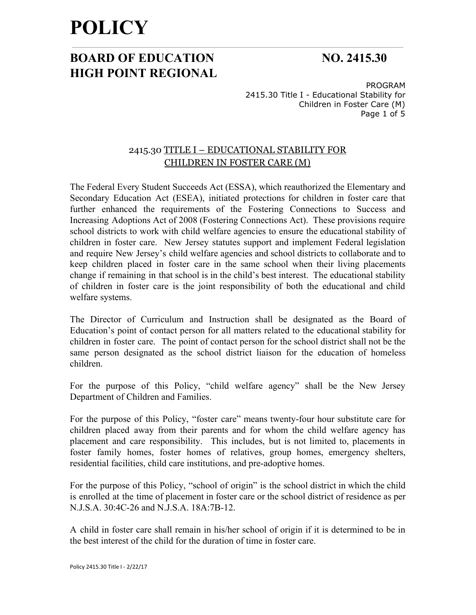## **BOARD OF EDUCATION NO. 2415.30 HIGH POINT REGIONAL**

PROGRAM 2415.30 Title I - Educational Stability for Children in Foster Care (M) Page 1 of 5

### 2415.30 TITLE I – EDUCATIONAL STABILITY FOR CHILDREN IN FOSTER CARE (M)

The Federal Every Student Succeeds Act (ESSA), which reauthorized the Elementary and Secondary Education Act (ESEA), initiated protections for children in foster care that further enhanced the requirements of the Fostering Connections to Success and Increasing Adoptions Act of 2008 (Fostering Connections Act). These provisions require school districts to work with child welfare agencies to ensure the educational stability of children in foster care. New Jersey statutes support and implement Federal legislation and require New Jersey's child welfare agencies and school districts to collaborate and to keep children placed in foster care in the same school when their living placements change if remaining in that school is in the child's best interest. The educational stability of children in foster care is the joint responsibility of both the educational and child welfare systems.

The Director of Curriculum and Instruction shall be designated as the Board of Education's point of contact person for all matters related to the educational stability for children in foster care. The point of contact person for the school district shall not be the same person designated as the school district liaison for the education of homeless children.

For the purpose of this Policy, "child welfare agency" shall be the New Jersey Department of Children and Families.

For the purpose of this Policy, "foster care" means twenty-four hour substitute care for children placed away from their parents and for whom the child welfare agency has placement and care responsibility. This includes, but is not limited to, placements in foster family homes, foster homes of relatives, group homes, emergency shelters, residential facilities, child care institutions, and pre-adoptive homes.

For the purpose of this Policy, "school of origin" is the school district in which the child is enrolled at the time of placement in foster care or the school district of residence as per N.J.S.A. 30:4C-26 and N.J.S.A. 18A:7B-12.

A child in foster care shall remain in his/her school of origin if it is determined to be in the best interest of the child for the duration of time in foster care.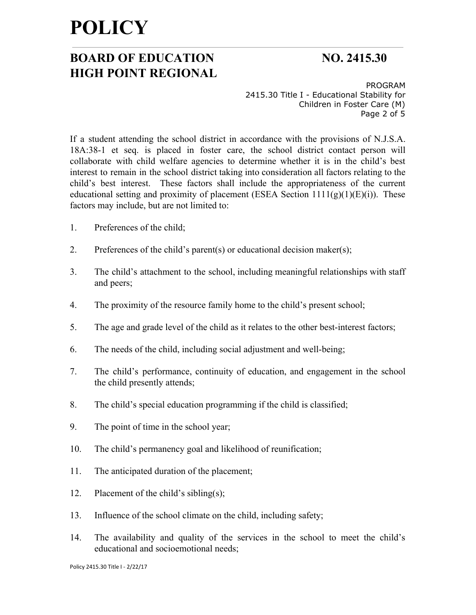## **BOARD OF EDUCATION NO. 2415.30 HIGH POINT REGIONAL**

PROGRAM 2415.30 Title I - Educational Stability for Children in Foster Care (M) Page 2 of 5

If a student attending the school district in accordance with the provisions of N.J.S.A. 18A:38-1 et seq. is placed in foster care, the school district contact person will collaborate with child welfare agencies to determine whether it is in the child's best interest to remain in the school district taking into consideration all factors relating to the child's best interest. These factors shall include the appropriateness of the current educational setting and proximity of placement (ESEA Section  $1111(g)(1)(E)(i)$ ). These factors may include, but are not limited to:

- 1. Preferences of the child;
- 2. Preferences of the child's parent(s) or educational decision maker(s);
- 3. The child's attachment to the school, including meaningful relationships with staff and peers;
- 4. The proximity of the resource family home to the child's present school;
- 5. The age and grade level of the child as it relates to the other best-interest factors;
- 6. The needs of the child, including social adjustment and well-being;
- 7. The child's performance, continuity of education, and engagement in the school the child presently attends;
- 8. The child's special education programming if the child is classified;
- 9. The point of time in the school year;
- 10. The child's permanency goal and likelihood of reunification;
- 11. The anticipated duration of the placement;
- 12. Placement of the child's sibling(s);
- 13. Influence of the school climate on the child, including safety;
- 14. The availability and quality of the services in the school to meet the child's educational and socioemotional needs;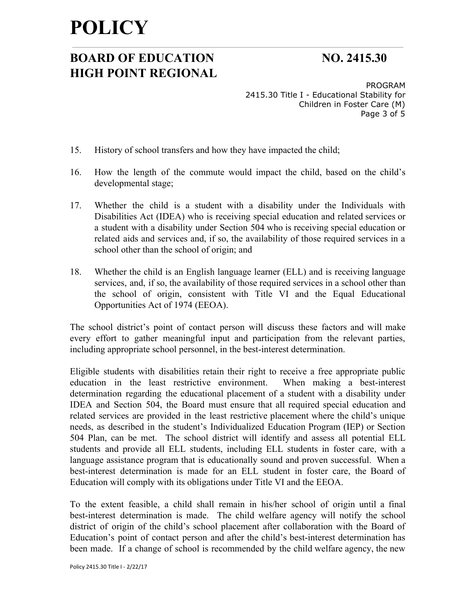## **BOARD OF EDUCATION NO. 2415.30 HIGH POINT REGIONAL**

PROGRAM 2415.30 Title I - Educational Stability for Children in Foster Care (M) Page 3 of 5

- 15. History of school transfers and how they have impacted the child;
- 16. How the length of the commute would impact the child, based on the child's developmental stage;
- 17. Whether the child is a student with a disability under the Individuals with Disabilities Act (IDEA) who is receiving special education and related services or a student with a disability under Section 504 who is receiving special education or related aids and services and, if so, the availability of those required services in a school other than the school of origin; and
- 18. Whether the child is an English language learner (ELL) and is receiving language services, and, if so, the availability of those required services in a school other than the school of origin, consistent with Title VI and the Equal Educational Opportunities Act of 1974 (EEOA).

The school district's point of contact person will discuss these factors and will make every effort to gather meaningful input and participation from the relevant parties, including appropriate school personnel, in the best-interest determination.

Eligible students with disabilities retain their right to receive a free appropriate public education in the least restrictive environment. When making a best-interest determination regarding the educational placement of a student with a disability under IDEA and Section 504, the Board must ensure that all required special education and related services are provided in the least restrictive placement where the child's unique needs, as described in the student's Individualized Education Program (IEP) or Section 504 Plan, can be met. The school district will identify and assess all potential ELL students and provide all ELL students, including ELL students in foster care, with a language assistance program that is educationally sound and proven successful. When a best-interest determination is made for an ELL student in foster care, the Board of Education will comply with its obligations under Title VI and the EEOA.

To the extent feasible, a child shall remain in his/her school of origin until a final best-interest determination is made. The child welfare agency will notify the school district of origin of the child's school placement after collaboration with the Board of Education's point of contact person and after the child's best-interest determination has been made. If a change of school is recommended by the child welfare agency, the new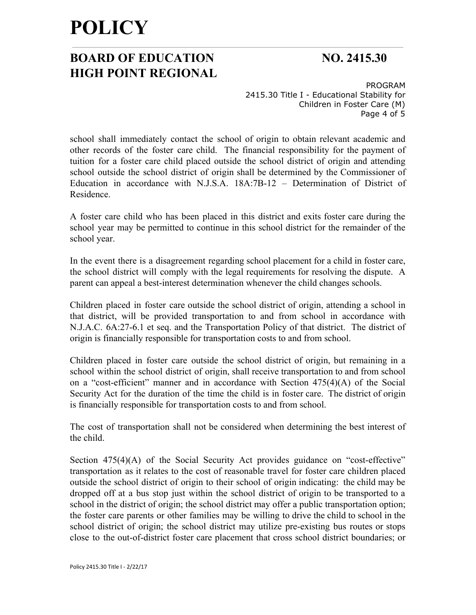## **BOARD OF EDUCATION NO. 2415.30 HIGH POINT REGIONAL**

PROGRAM 2415.30 Title I - Educational Stability for Children in Foster Care (M) Page 4 of 5

school shall immediately contact the school of origin to obtain relevant academic and other records of the foster care child. The financial responsibility for the payment of tuition for a foster care child placed outside the school district of origin and attending school outside the school district of origin shall be determined by the Commissioner of Education in accordance with N.J.S.A. 18A:7B-12 – Determination of District of Residence.

A foster care child who has been placed in this district and exits foster care during the school year may be permitted to continue in this school district for the remainder of the school year.

In the event there is a disagreement regarding school placement for a child in foster care, the school district will comply with the legal requirements for resolving the dispute. A parent can appeal a best-interest determination whenever the child changes schools.

Children placed in foster care outside the school district of origin, attending a school in that district, will be provided transportation to and from school in accordance with N.J.A.C. 6A:27-6.1 et seq. and the Transportation Policy of that district. The district of origin is financially responsible for transportation costs to and from school.

Children placed in foster care outside the school district of origin, but remaining in a school within the school district of origin, shall receive transportation to and from school on a "cost-efficient" manner and in accordance with Section 475(4)(A) of the Social Security Act for the duration of the time the child is in foster care. The district of origin is financially responsible for transportation costs to and from school.

The cost of transportation shall not be considered when determining the best interest of the child.

Section 475(4)(A) of the Social Security Act provides guidance on "cost-effective" transportation as it relates to the cost of reasonable travel for foster care children placed outside the school district of origin to their school of origin indicating: the child may be dropped off at a bus stop just within the school district of origin to be transported to a school in the district of origin; the school district may offer a public transportation option; the foster care parents or other families may be willing to drive the child to school in the school district of origin; the school district may utilize pre-existing bus routes or stops close to the out-of-district foster care placement that cross school district boundaries; or